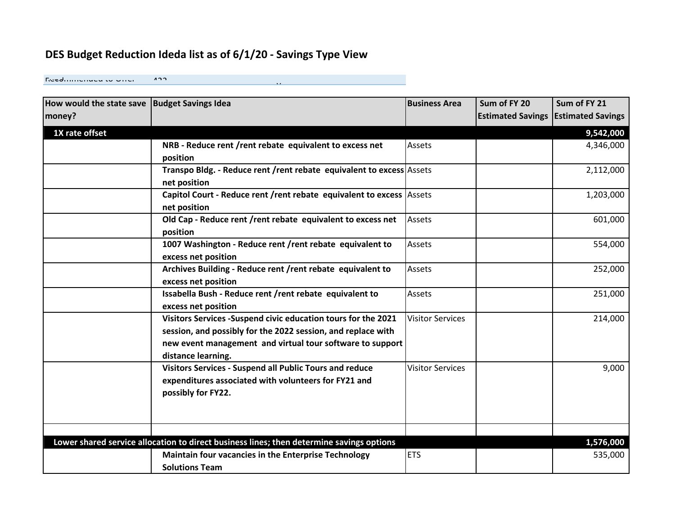# **DES Budget Reduction Ideda list as of 6/1/20 - Savings Type View**

Freedminemend to Offer 422

| How would the state save   Budget Savings Idea |                                                                                          | <b>Business Area</b>    | Sum of FY 20             | Sum of FY 21             |
|------------------------------------------------|------------------------------------------------------------------------------------------|-------------------------|--------------------------|--------------------------|
| money?                                         |                                                                                          |                         | <b>Estimated Savings</b> | <b>Estimated Savings</b> |
| 1X rate offset                                 |                                                                                          |                         |                          | 9,542,000                |
|                                                | NRB - Reduce rent /rent rebate equivalent to excess net                                  | Assets                  |                          | 4,346,000                |
|                                                | position                                                                                 |                         |                          |                          |
|                                                | Transpo Bldg. - Reduce rent / rent rebate equivalent to excess Assets                    |                         |                          | 2,112,000                |
|                                                | net position                                                                             |                         |                          |                          |
|                                                | Capitol Court - Reduce rent / rent rebate equivalent to excess Assets                    |                         |                          | 1,203,000                |
|                                                | net position                                                                             |                         |                          |                          |
|                                                | Old Cap - Reduce rent / rent rebate equivalent to excess net                             | Assets                  |                          | 601,000                  |
|                                                | position                                                                                 |                         |                          |                          |
|                                                | 1007 Washington - Reduce rent / rent rebate equivalent to                                | Assets                  |                          | 554,000                  |
|                                                | excess net position                                                                      |                         |                          |                          |
|                                                | Archives Building - Reduce rent / rent rebate equivalent to                              | Assets                  |                          | 252,000                  |
|                                                | excess net position                                                                      |                         |                          |                          |
|                                                | Issabella Bush - Reduce rent /rent rebate equivalent to                                  | Assets                  |                          | 251,000                  |
|                                                | excess net position                                                                      |                         |                          |                          |
|                                                | Visitors Services - Suspend civic education tours for the 2021                           | <b>Visitor Services</b> |                          | 214,000                  |
|                                                | session, and possibly for the 2022 session, and replace with                             |                         |                          |                          |
|                                                | new event management and virtual tour software to support                                |                         |                          |                          |
|                                                | distance learning.                                                                       |                         |                          |                          |
|                                                | Visitors Services - Suspend all Public Tours and reduce                                  | <b>Visitor Services</b> |                          | 9,000                    |
|                                                | expenditures associated with volunteers for FY21 and                                     |                         |                          |                          |
|                                                | possibly for FY22.                                                                       |                         |                          |                          |
|                                                |                                                                                          |                         |                          |                          |
|                                                |                                                                                          |                         |                          |                          |
|                                                | Lower shared service allocation to direct business lines; then determine savings options |                         |                          | 1,576,000                |
|                                                | <b>Maintain four vacancies in the Enterprise Technology</b>                              | <b>ETS</b>              |                          | 535,000                  |
|                                                | <b>Solutions Team</b>                                                                    |                         |                          |                          |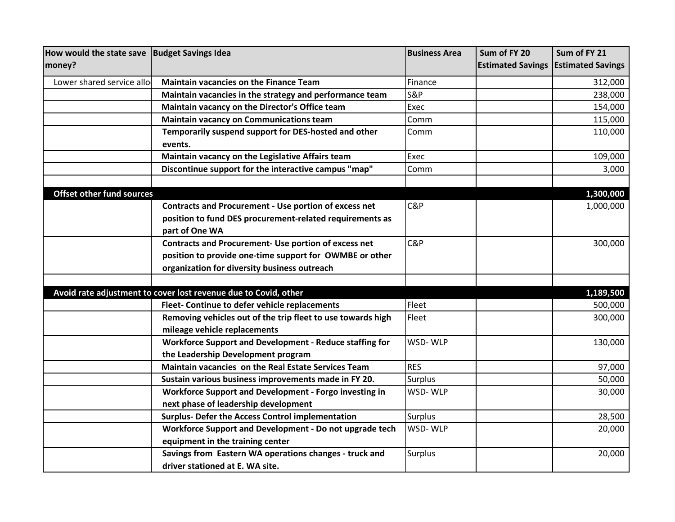| How would the state save         | <b>Budget Savings Idea</b>                                      | <b>Business Area</b> | Sum of FY 20             | Sum of FY 21             |
|----------------------------------|-----------------------------------------------------------------|----------------------|--------------------------|--------------------------|
| money?                           |                                                                 |                      | <b>Estimated Savings</b> | <b>Estimated Savings</b> |
| Lower shared service allo        | <b>Maintain vacancies on the Finance Team</b>                   | Finance              |                          | 312,000                  |
|                                  | Maintain vacancies in the strategy and performance team         | <b>S&amp;P</b>       |                          | 238,000                  |
|                                  | Maintain vacancy on the Director's Office team                  | Exec                 |                          | 154,000                  |
|                                  | <b>Maintain vacancy on Communications team</b>                  | Comm                 |                          | 115,000                  |
|                                  | Temporarily suspend support for DES-hosted and other            | Comm                 |                          | 110,000                  |
|                                  | events.                                                         |                      |                          |                          |
|                                  | Maintain vacancy on the Legislative Affairs team                | Exec                 |                          | 109,000                  |
|                                  | Discontinue support for the interactive campus "map"            | Comm                 |                          | 3,000                    |
|                                  |                                                                 |                      |                          |                          |
| <b>Offset other fund sources</b> |                                                                 |                      |                          | 1,300,000                |
|                                  | <b>Contracts and Procurement - Use portion of excess net</b>    | C&P                  |                          | 1,000,000                |
|                                  | position to fund DES procurement-related requirements as        |                      |                          |                          |
|                                  | part of One WA                                                  |                      |                          |                          |
|                                  | <b>Contracts and Procurement- Use portion of excess net</b>     | C&P                  |                          | 300,000                  |
|                                  | position to provide one-time support for OWMBE or other         |                      |                          |                          |
|                                  | organization for diversity business outreach                    |                      |                          |                          |
|                                  |                                                                 |                      |                          |                          |
|                                  | Avoid rate adjustment to cover lost revenue due to Covid, other |                      |                          | 1,189,500                |
|                                  | Fleet- Continue to defer vehicle replacements                   | Fleet                |                          | 500,000                  |
|                                  | Removing vehicles out of the trip fleet to use towards high     | Fleet                |                          | 300,000                  |
|                                  | mileage vehicle replacements                                    |                      |                          |                          |
|                                  | Workforce Support and Development - Reduce staffing for         | WSD-WLP              |                          | 130,000                  |
|                                  | the Leadership Development program                              |                      |                          |                          |
|                                  | Maintain vacancies on the Real Estate Services Team             | <b>RES</b>           |                          | 97,000                   |
|                                  | Sustain various business improvements made in FY 20.            | <b>Surplus</b>       |                          | 50,000                   |
|                                  | Workforce Support and Development - Forgo investing in          | WSD-WLP              |                          | 30,000                   |
|                                  | next phase of leadership development                            |                      |                          |                          |
|                                  | <b>Surplus- Defer the Access Control implementation</b>         | Surplus              |                          | 28,500                   |
|                                  | Workforce Support and Development - Do not upgrade tech         | WSD-WLP              |                          | 20,000                   |
|                                  | equipment in the training center                                |                      |                          |                          |
|                                  | Savings from Eastern WA operations changes - truck and          | <b>Surplus</b>       |                          | 20,000                   |
|                                  | driver stationed at E. WA site.                                 |                      |                          |                          |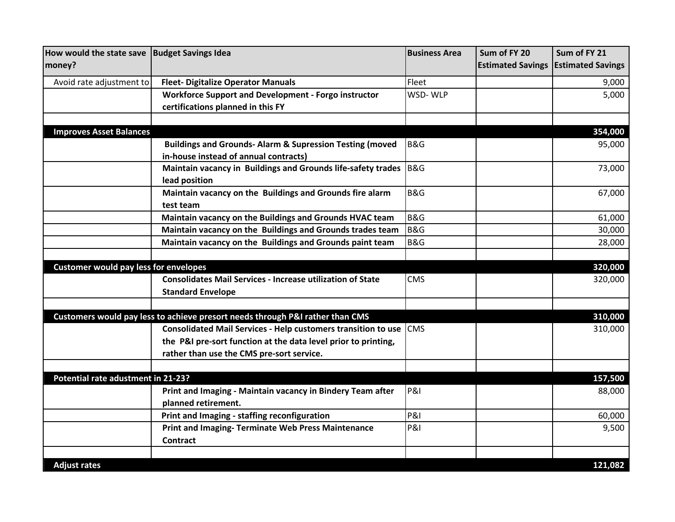| How would the state save   Budget Savings Idea |                                                                               | <b>Business Area</b> | Sum of FY 20             | Sum of FY 21             |
|------------------------------------------------|-------------------------------------------------------------------------------|----------------------|--------------------------|--------------------------|
| money?                                         |                                                                               |                      | <b>Estimated Savings</b> | <b>Estimated Savings</b> |
| Avoid rate adjustment to                       | <b>Fleet- Digitalize Operator Manuals</b>                                     | Fleet                |                          | 9,000                    |
|                                                | <b>Workforce Support and Development - Forgo instructor</b>                   | WSD-WLP              |                          | 5,000                    |
|                                                | certifications planned in this FY                                             |                      |                          |                          |
|                                                |                                                                               |                      |                          |                          |
| <b>Improves Asset Balances</b>                 |                                                                               |                      |                          | 354,000                  |
|                                                | <b>Buildings and Grounds- Alarm &amp; Supression Testing (moved</b>           | B&G                  |                          | 95,000                   |
|                                                | in-house instead of annual contracts)                                         |                      |                          |                          |
|                                                | Maintain vacancy in Buildings and Grounds life-safety trades                  | <b>B&amp;G</b>       |                          | 73,000                   |
|                                                | lead position                                                                 |                      |                          |                          |
|                                                | Maintain vacancy on the Buildings and Grounds fire alarm                      | B&G                  |                          | 67,000                   |
|                                                | test team                                                                     |                      |                          |                          |
|                                                | Maintain vacancy on the Buildings and Grounds HVAC team                       | B&G                  |                          | 61,000                   |
|                                                | Maintain vacancy on the Buildings and Grounds trades team                     | <b>B&amp;G</b>       |                          | 30,000                   |
|                                                | Maintain vacancy on the Buildings and Grounds paint team                      | <b>B&amp;G</b>       |                          | 28,000                   |
|                                                |                                                                               |                      |                          |                          |
| <b>Customer would pay less for envelopes</b>   |                                                                               |                      |                          | 320,000                  |
|                                                | <b>Consolidates Mail Services - Increase utilization of State</b>             | CMS                  |                          | 320,000                  |
|                                                | <b>Standard Envelope</b>                                                      |                      |                          |                          |
|                                                |                                                                               |                      |                          |                          |
|                                                | Customers would pay less to achieve presort needs through P&I rather than CMS |                      |                          | 310,000                  |
|                                                | <b>Consolidated Mail Services - Help customers transition to use</b>          | <b>CMS</b>           |                          | 310,000                  |
|                                                | the P&I pre-sort function at the data level prior to printing,                |                      |                          |                          |
|                                                | rather than use the CMS pre-sort service.                                     |                      |                          |                          |
|                                                |                                                                               |                      |                          |                          |
| Potential rate adustment in 21-23?             |                                                                               |                      |                          | 157,500                  |
|                                                | Print and Imaging - Maintain vacancy in Bindery Team after                    | <b>P&amp;I</b>       |                          | 88,000                   |
|                                                | planned retirement.                                                           |                      |                          |                          |
|                                                | Print and Imaging - staffing reconfiguration                                  | <b>P&amp;I</b>       |                          | 60,000                   |
|                                                | <b>Print and Imaging- Terminate Web Press Maintenance</b>                     | <b>P&amp;I</b>       |                          | 9,500                    |
|                                                | <b>Contract</b>                                                               |                      |                          |                          |
|                                                |                                                                               |                      |                          |                          |
| <b>Adjust rates</b>                            |                                                                               |                      |                          | 121,082                  |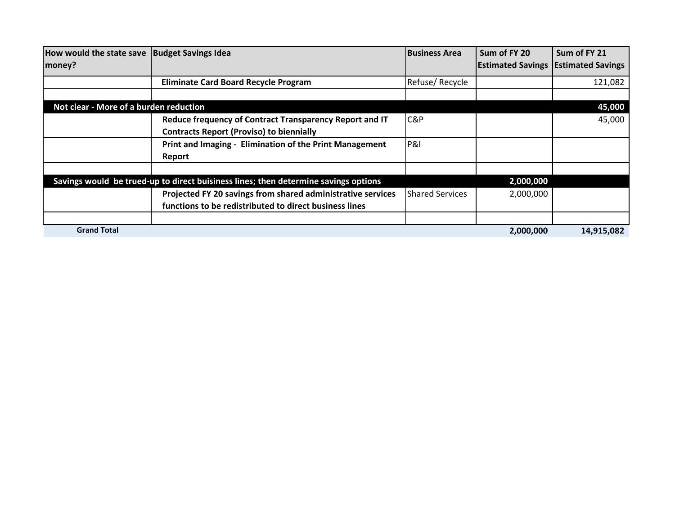| How would the state save   Budget Savings Idea |                                                                                     | <b>Business Area</b>   | Sum of FY 20                                 | Sum of FY 21 |
|------------------------------------------------|-------------------------------------------------------------------------------------|------------------------|----------------------------------------------|--------------|
| money?                                         |                                                                                     |                        | <b>Estimated Savings   Estimated Savings</b> |              |
|                                                | <b>Eliminate Card Board Recycle Program</b>                                         | Refuse/Recycle         |                                              | 121,082      |
|                                                |                                                                                     |                        |                                              |              |
| Not clear - More of a burden reduction         |                                                                                     |                        |                                              | 45,000       |
|                                                | Reduce frequency of Contract Transparency Report and IT                             | C&P                    |                                              | 45,000       |
|                                                | <b>Contracts Report (Proviso) to biennially</b>                                     |                        |                                              |              |
|                                                | Print and Imaging - Elimination of the Print Management                             | <b>P&amp;I</b>         |                                              |              |
|                                                | Report                                                                              |                        |                                              |              |
|                                                |                                                                                     |                        |                                              |              |
|                                                | Savings would be trued-up to direct buisiness lines; then determine savings options |                        | 2,000,000                                    |              |
|                                                | Projected FY 20 savings from shared administrative services                         | <b>Shared Services</b> | 2,000,000                                    |              |
|                                                | functions to be redistributed to direct business lines                              |                        |                                              |              |
|                                                |                                                                                     |                        |                                              |              |
| <b>Grand Total</b>                             |                                                                                     |                        | 2,000,000                                    | 14,915,082   |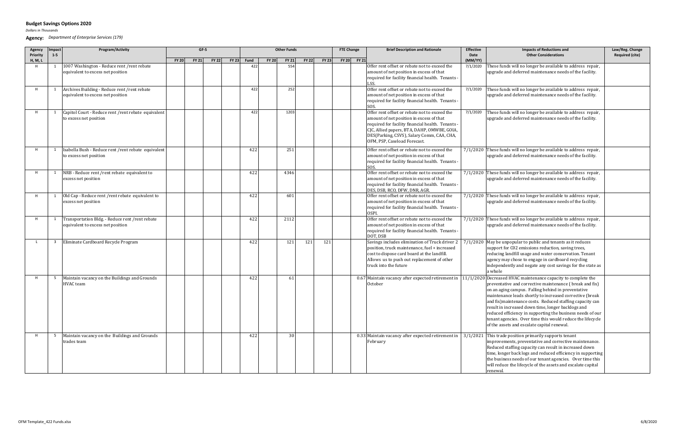*Dollars in Thousands*

**Agency:** *Department of Enterprise Services (179)*

| Agency<br>Priority | Impact<br>$1 - 5$ | Program/Activity                                                                      |              |              | GF-S         |              |      |              | <b>Other Funds</b> |              |              | <b>FTE Change</b> | <b>Brief Description and Rationale</b>                                                                                                                                                                                                                                      | <b>Effective</b><br>Date | <b>Impacts of Reductions and</b><br><b>Other Considerations</b>                                                                                                                                                                                                                                                                                                                                                                                                                                                                            | Law/Reg. Change<br><b>Required (cite)</b> |
|--------------------|-------------------|---------------------------------------------------------------------------------------|--------------|--------------|--------------|--------------|------|--------------|--------------------|--------------|--------------|-------------------|-----------------------------------------------------------------------------------------------------------------------------------------------------------------------------------------------------------------------------------------------------------------------------|--------------------------|--------------------------------------------------------------------------------------------------------------------------------------------------------------------------------------------------------------------------------------------------------------------------------------------------------------------------------------------------------------------------------------------------------------------------------------------------------------------------------------------------------------------------------------------|-------------------------------------------|
| H, M, L            |                   |                                                                                       | <b>FY 20</b> | <b>FY 21</b> | <b>FY 22</b> | <b>FY 23</b> | Fund | <b>FY 20</b> | <b>FY 21</b>       | <b>FY 22</b> | <b>FY 23</b> | FY 20 FY 21       |                                                                                                                                                                                                                                                                             | (MM/YY)                  |                                                                                                                                                                                                                                                                                                                                                                                                                                                                                                                                            |                                           |
| H                  |                   | 1007 Washington - Reduce rent / rent rebate<br>equivalent to excess net position      |              |              |              |              | 422  |              | 554                |              |              |                   | Offer rent offset or rebate not to exceed the<br>amount of net position in excess of that<br>required for facility financial health. Tenants -                                                                                                                              | 7/1/2020                 | These funds will no longer be available to address repair,<br>upgrade and deferred maintenance needs of the facility.                                                                                                                                                                                                                                                                                                                                                                                                                      |                                           |
|                    | 1                 | Archives Building - Reduce rent / rent rebate<br>equivalent to excess net position    |              |              |              |              | 422  |              | 252                |              |              |                   | Offer rent offset or rebate not to exceed the<br>amount of net position in excess of that<br>required for facility financial health. Tenants -<br>SOS.                                                                                                                      | 7/1/2020                 | These funds will no longer be available to address repair,<br>upgrade and deferred maintenance needs of the facility.                                                                                                                                                                                                                                                                                                                                                                                                                      |                                           |
|                    |                   | Capitol Court - Reduce rent /rent rebate equivalent<br>to excess net position         |              |              |              |              | 422  |              | 1203               |              |              |                   | Offer rent offset or rebate not to exceed the<br>amount of net position in excess of that<br>required for facility financial health. Tenants -<br>CJC, Allied papers, BTA, DAHP, OMWBE, GOIA,<br>DES(Parking, CSVS), Salary Comm, CAA, CHA,<br>OFM, PSP, Caseload Forecast. | 7/1/2020                 | These funds will no longer be available to address repair,<br>upgrade and deferred maintenance needs of the facility.                                                                                                                                                                                                                                                                                                                                                                                                                      |                                           |
|                    |                   | Isabella Bush - Reduce rent /rent rebate equivalent<br>to excess net position         |              |              |              |              | 422  |              | 251                |              |              |                   | Offer rent offset or rebate not to exceed the<br>amount of net position in excess of that<br>required for facility financial health. Tenants -<br>SOS.                                                                                                                      |                          | $7/1/2020$ These funds will no longer be available to address repair,<br>upgrade and deferred maintenance needs of the facility.                                                                                                                                                                                                                                                                                                                                                                                                           |                                           |
|                    | 1                 | NRB - Reduce rent / rent rebate equivalent to<br>excess net position                  |              |              |              |              | 422  |              | 4346               |              |              |                   | Offer rent offset or rebate not to exceed the<br>amount of net position in excess of that<br>required for facility financial health. Tenants -<br>DES, DSB, RCO, DFW, DNR, AGR.                                                                                             |                          | $7/1/2020$ These funds will no longer be available to address repair,<br>upgrade and deferred maintenance needs of the facility.                                                                                                                                                                                                                                                                                                                                                                                                           |                                           |
|                    | 1                 | Old Cap - Reduce rent / rent rebate equivalent to<br>excess net position              |              |              |              |              | 422  |              | 601                |              |              |                   | Offer rent offset or rebate not to exceed the<br>amount of net position in excess of that<br>required for facility financial health. Tenants -<br>OSPI.                                                                                                                     |                          | 7/1/2020 These funds will no longer be available to address repair,<br>upgrade and deferred maintenance needs of the facility.                                                                                                                                                                                                                                                                                                                                                                                                             |                                           |
|                    |                   | Transportation Bldg. - Reduce rent / rent rebate<br>equivalent to excess net position |              |              |              |              | 422  |              | 2112               |              |              |                   | Offer rent offset or rebate not to exceed the<br>amount of net position in excess of that<br>required for facility financial health. Tenants -<br>DOT, DSB                                                                                                                  |                          | $7/1/2020$ These funds will no longer be available to address repair,<br>upgrade and deferred maintenance needs of the facility.                                                                                                                                                                                                                                                                                                                                                                                                           |                                           |
|                    |                   | 3 Eliminate Cardboard Recycle Program                                                 |              |              |              |              | 422  |              | 121                | 121          | 121          |                   | Savings includes elimination of Truck driver 2<br>position, truck maintenance, fuel + increased<br>cost to dispose card board at the landfill<br>Allows us to push out replacement of other<br>truck into the future                                                        |                          | $7/1/2020$ May be unpopular to public and tenants as it reduces<br>support for C02 emissions reduction, saving trees,<br>reducing landfill usage and water conservation. Tenant<br>agency may chose to engage in cardboard recycling<br>independently and negate any cost savings for the state as<br>a whole                                                                                                                                                                                                                              |                                           |
|                    | -5                | Maintain vacancy on the Buildings and Grounds<br>HVAC team                            |              |              |              |              | 422  |              | <sup>61</sup>      |              |              |                   | 0.67 Maintain vacancy after expected retirement in<br>October                                                                                                                                                                                                               |                          | $11/1/2020$ Decreased HVAC maintenance capacity to complete the<br>preventative and corrective maintenance (break and fix)<br>on an aging campus. Falling behind in preventative<br>maintenance leads shortly to increased corrective (break<br>and fix) maintenance costs. Reduced staffing capacity can<br>result in increased down time, longer backlogs and<br>reduced efficiency in supporting the business needs of our<br>tenant agencies. Over time this would reduce the lifecycle<br>of the assets and escalate capital renewal. |                                           |
|                    | 5                 | Maintain vacancy on the Buildings and Grounds<br>trades team                          |              |              |              |              | 422  |              | 30 <sup>1</sup>    |              |              |                   | 0.33 Maintain vacancy after expected retirement in<br>February                                                                                                                                                                                                              |                          | $3/1/2021$ This trade position primarily supports tenant<br>improvements, preventative and corrective maintenance.<br>Reduced staffing capacity can result in increased down<br>time, longer back logs and reduced efficiency in supporting<br>the business needs of our tenant agencies. Over time this<br>will reduce the lifecycle of the assets and escalate capital<br>renewal.                                                                                                                                                       |                                           |

## **Budget Savings Options 2020**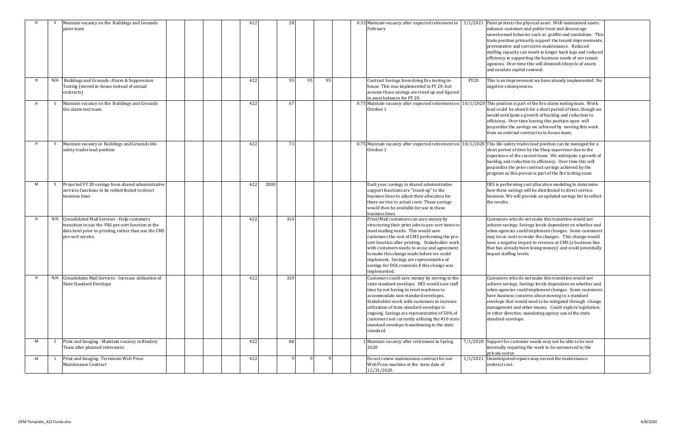|   |     | Maintain vacancy on the Buildings and Grounds<br>paint team                                                                                                                         | 422 | 28   |    |    | February                                                                                                                                                                                                                                                                                                                                                                                                                                    |      | 0.33 Maintain vacancy after expected retirement in $\vert$ 3/1/2021 Paint protects the physical asset. Well-maintained assets<br>enhance customer and public trust and discourage<br>unwelcomed behavior such as graffiti and vandalism. This<br>trade position primarily support the tenant improvements,<br>preventative and corrective maintenance. Reduced<br>staffing capacity can result in longer back logs and reduced<br>efficiency in supporting the business needs of our tenant<br>agencies. Over time this will diminish lifecycle of assets<br>and escalate capital renewal. |
|---|-----|-------------------------------------------------------------------------------------------------------------------------------------------------------------------------------------|-----|------|----|----|---------------------------------------------------------------------------------------------------------------------------------------------------------------------------------------------------------------------------------------------------------------------------------------------------------------------------------------------------------------------------------------------------------------------------------------------|------|--------------------------------------------------------------------------------------------------------------------------------------------------------------------------------------------------------------------------------------------------------------------------------------------------------------------------------------------------------------------------------------------------------------------------------------------------------------------------------------------------------------------------------------------------------------------------------------------|
|   |     | N/A Buildings and Grounds-Alarm & Suppression<br>Testing (moved in-house instead of annual<br>contracts)                                                                            | 422 | 95   | 95 | 95 | Contract Savings from doing fire testing in-<br>house. This was implemented in FY 20, but<br>assume those savings are trued up and figured<br>in asset balances for FY 20.                                                                                                                                                                                                                                                                  | FY20 | This is an improvement we have already implemented. No<br>negative consequences.                                                                                                                                                                                                                                                                                                                                                                                                                                                                                                           |
|   | -5  | Maintain vacancy on the Buildings and Grounds<br>fire alarm test team                                                                                                               | 422 | 67   |    |    | 0.75 Maintain vacancy after expected retirement on<br>October 1                                                                                                                                                                                                                                                                                                                                                                             |      | $10/1/2020$ This position is part of the fire alarm testing team. Work<br>load could be absorb for a short period of time, though we<br>would anticipate a growth of backlog and reduction to<br>efficiency. Over time leaving this position open will<br>jeopardize the savings we achieved by moving this work<br>from an external contract to in-house team.                                                                                                                                                                                                                            |
|   | -5  | Maintain vacancy in Buildings and Grounds life-<br>safety trades lead position                                                                                                      | 422 | 73   |    |    | October 1                                                                                                                                                                                                                                                                                                                                                                                                                                   |      | 0.75 Maintain vacancy after expected retirement on $\vert 10/1/2020 \vert$ This life-safety trades lead position can be managed for a<br>short period of time by the Shop supervisor due to the<br>experience of the current team. We anticipate a growth of<br>backlog and reduction to efficiency. Over time this will<br>jeopardize the prior contract savings achieved by the<br>program as this person is part of the fire testing team                                                                                                                                               |
| M | - 5 | Projected FY 20 savings from shared administrative<br>services functions to be redistributed to direct<br>business lines                                                            | 422 | 2000 |    |    | Each year, savings in shared administrative<br>support functions are "trued-up" to the<br>business lines to adjust their allocation for<br>these service to actual costs. These savings<br>would then be available for use in these<br>business lines.                                                                                                                                                                                      |      | DES is performing cost allocation modeling to determine<br>how these savings will be distributed to direct service<br>business. We will provide an updated savings list to reflect<br>the results.                                                                                                                                                                                                                                                                                                                                                                                         |
| H |     | N/A Consolidated Mail Services - Help customers<br>transition to use the P&I pre-sort function at the<br>data level prior to printing, rather than use the CMS<br>pre-sort service. | 422 | 310  |    |    | Print/Mail customers can save money by<br>structuring their print jobs to pre-sort items to<br>meet mailing needs. This would save<br>customers the cost of CMS performing the pre-<br>sort function after printing. Stakeholder work<br>with customers needs to occur and agreement<br>to make this change made before we could<br>implement. Savings are representative of<br>savings for DOL renewals if this change was<br>implemented. |      | Customers who do not make this transition would not<br>achieve savings. Savings levels dependent on whether and<br>when agencies could implement changes. Some customers<br>may incur costs to make the changes. This change would<br>have a negative impact to revenue at CMS (a business line<br>that has already been losing money) and could potentially<br>impact staffing levels.                                                                                                                                                                                                    |
|   |     | N/A Consolidates Mail Services - Increase utilization of<br><b>State Standard Envelope</b>                                                                                          | 422 | 320  |    |    | Customers could save money by moving to the<br>state standard envelope. DES would save staff<br>time by not having to reset machines to<br>accommodate non-standard envelopes.<br>Stakeholder work with customers to increase<br>utilization of state standard envelope is<br>ongoing. Savings are representative of 50% of<br>customers not currently utilizing the #10 state<br>standard envelope transitioning to the state<br>standard. |      | Customers who do not make this transition would not<br>achieve savings. Savings levels dependent on whether and<br>when agencies could implement changes. Some customers<br>have business concerns about moving to a standard<br>envelope that would need to be mitigated through change<br>management and other means. Could explore legislation,<br>or other directive, mandating agency use of the state<br>standard envelope.                                                                                                                                                          |
| M | 1   | Print and Imaging - Maintain vacancy in Bindery<br>Team after planned retirement.                                                                                                   | 422 | 88   |    |    | 1 Maintain vacancy after retirement in Spring<br>2020                                                                                                                                                                                                                                                                                                                                                                                       |      | $7/1/2020$ Support for customer needs may not be able to be met<br>internally requiring the work to be outsourced to the<br>private sector.                                                                                                                                                                                                                                                                                                                                                                                                                                                |
| M |     | Print and Imaging-Terminate Web Press<br>Maintenance Contract                                                                                                                       | 422 |      | q  | q  | Do not renew maintenance contract for our<br>Web Press machine at the term date of<br>12/31/2020.                                                                                                                                                                                                                                                                                                                                           |      | $1/1/2021$ Unanticipated repairs may exceed the maintenance<br>contract cost.                                                                                                                                                                                                                                                                                                                                                                                                                                                                                                              |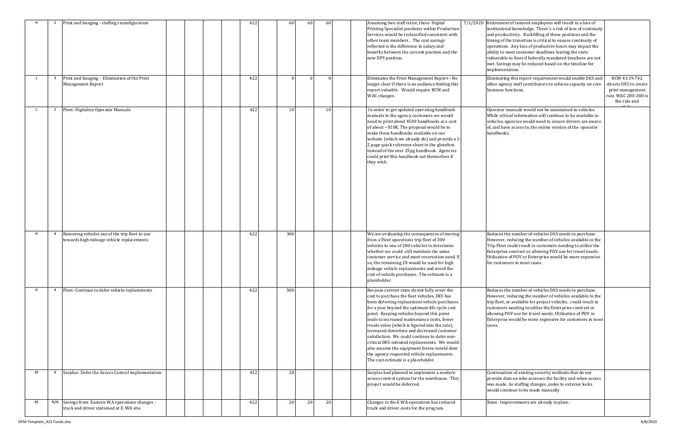| H | 1                       | Print and Imaging - staffing reconfiguration                                                  | 422 | 60  | 60        | 60              | Assuming two staff retire, these Digital<br>Printing Specialist positions within Production<br>Services would be reclassified consistent with<br>other team members. The cost savings<br>reflected is the difference in salary and<br>benefits between the current position and the<br>new DPS position.                                                                                                                                                                                                                                                                                                                       | 7/1/2020 Retirement of tenured employees will result in a loss of<br>institutional knowledge. There's a risk of loss of continuity<br>and productivity. Backfilling of these positions and the<br>timing of the transition is critical to ensure continuity of<br>operations. Any loss of productive hours may impact the<br>ability to meet customer deadlines leaving the state<br>vulnerable to fines if federally mandated timelines are not<br>met. Savings may be reduced based on the timeline for<br>implementation. |                                                                      |
|---|-------------------------|-----------------------------------------------------------------------------------------------|-----|-----|-----------|-----------------|--------------------------------------------------------------------------------------------------------------------------------------------------------------------------------------------------------------------------------------------------------------------------------------------------------------------------------------------------------------------------------------------------------------------------------------------------------------------------------------------------------------------------------------------------------------------------------------------------------------------------------|------------------------------------------------------------------------------------------------------------------------------------------------------------------------------------------------------------------------------------------------------------------------------------------------------------------------------------------------------------------------------------------------------------------------------------------------------------------------------------------------------------------------------|----------------------------------------------------------------------|
|   | $\overline{\mathbf{3}}$ | Print and Imaging - Elimination of the Print<br><b>Management Report</b>                      | 422 |     | $\Omega$  |                 | Eliminates the Print Management Report-- No<br>longer clear If there is an audience finding this<br>report valuable. Would require RCW and<br>WAC changes.                                                                                                                                                                                                                                                                                                                                                                                                                                                                     | Eliminating this report requirement would enable DES and<br>other agency staff contributors to refocus capacity on core<br>business functions.                                                                                                                                                                                                                                                                                                                                                                               | <b>RCW 43.</b><br>directs DES<br>print man<br>rule. WAC 2<br>the rul |
|   | 1                       | Fleet-Digitalize Operator Manuals                                                             | 422 | 10  |           | 10 <sup>1</sup> | In order to get updated operating handbook<br>manuals to the agency customers we would<br>need to print about 4500 handbooks at a cost<br>of about ~\$10K. The proposal would be to<br>make these handbooks available on our<br>website (which we already do) and provide a 1<br>2 page quick reference sheet in the glovebox<br>instead of the over 25pg handbook. Agencies<br>could print this handbook out themselves if<br>they wish.                                                                                                                                                                                      | Operator manuals would not be maintained in vehicles.<br>While critical information will continue to be available in<br>vehicles, agencies would need to ensure drivers are aware<br>of, and have access to, the online version of the operator<br>handbooks.                                                                                                                                                                                                                                                                |                                                                      |
| H | 4                       | Removing vehicles out of the trip fleet to use<br>towards high mileage vehicle replacements   | 422 | 300 |           |                 | We are evaluating the consequences of moving<br>from a Fleet operations trip fleet of 300<br>vehicles to one of 280 vehicles to determine<br>whether we could still maintain the same<br>customer service and meet reservation need. If<br>so, the remaining 20 would be used for high<br>mileage vehicle replacements and avoid the<br>cost of vehicle purchases. The estimate is a<br>placeholder.                                                                                                                                                                                                                           | Reduces the number of vehicles DES needs to purchase.<br>However, reducing the number of vehicles available in the<br>Trip Fleet could result in customers needing to utilize the<br>Enterprise contract or allowing POV use for travel needs.<br>Utilization of POV or Enterprise would be more expensive<br>for customers in most cases.                                                                                                                                                                                   |                                                                      |
| H | $\overline{4}$          | Fleet-Continue to defer vehicle replacements                                                  | 422 | 500 |           |                 | Because current rates do not fully cover the<br>cost to purchase the fleet vehicles, DES has<br>been deferring replacement vehicle purchases<br>for a year beyond the optimum life-cycle cost<br>point. Keeping vehicles beyond this point<br>leads to increased maintenance costs, lower<br>resale value (which is figured into the rate),<br>increased downtime and decreased customer<br>satisfaction. We could continue to defer non-<br>critical DES-initiated replacements. We would<br>also assume the equipment freeze would slow<br>the agency-requested vehicle replacements.<br>The cost estimate is a placeholder. | Reduces the number of vehicles DES needs to purchase.<br>However, reducing the number of vehicles available in the<br>trip fleet, or available for project vehicles, could result in<br>customers needing to utilize the Enterprise contract or<br>allowing POV use for travel needs. Utilization of POV or<br>Enterprise would be more expensive for customers in most<br>cases.                                                                                                                                            |                                                                      |
| M | $\overline{4}$          | Surplus-Defer the Access Control implementation                                               | 422 | 28  |           |                 | Surplus had planned to implement a modern<br>access control system for the warehouse. This<br>project would be deferred.                                                                                                                                                                                                                                                                                                                                                                                                                                                                                                       | Continuation of existing security methods that do not<br>provide data on who accesses the facility and when access<br>was made. As staffing changes , codes to exterior locks<br>would continue to be made manually                                                                                                                                                                                                                                                                                                          |                                                                      |
| M |                         | N/A Savings from Eastern WA operations changes -<br>truck and driver stationed at E. WA site. | 422 | 20  | <b>20</b> | 20              | Changes in the E WA operations has reduced<br>truck and driver costs for the program.                                                                                                                                                                                                                                                                                                                                                                                                                                                                                                                                          | None. Improvements are already in place.                                                                                                                                                                                                                                                                                                                                                                                                                                                                                     |                                                                      |

| 7/1/2020 | Retirement of tenured employees will result in a loss of<br>institutional knowledge. There's a risk of loss of continuity<br>and productivity. Backfilling of these positions and the<br>timing of the transition is critical to ensure continuity of<br>operations. Any loss of productive hours may impact the<br>ability to meet customer deadlines leaving the state<br>vulnerable to fines if federally mandated timelines are not<br>met. Savings may be reduced based on the timeline for<br>implementation. |                                                                                                    |
|----------|---------------------------------------------------------------------------------------------------------------------------------------------------------------------------------------------------------------------------------------------------------------------------------------------------------------------------------------------------------------------------------------------------------------------------------------------------------------------------------------------------------------------|----------------------------------------------------------------------------------------------------|
|          | Eliminating this report requirement would enable DES and<br>other agency staff contributors to refocus capacity on core<br>business functions.                                                                                                                                                                                                                                                                                                                                                                      | RCW 43.19.742<br>directs DES to create<br>print management<br>rule. WAC 200-380 is<br>the rule and |
|          | Operator manuals would not be maintained in vehicles.<br>While critical information will continue to be available in<br>vehicles, agencies would need to ensure drivers are aware<br>of, and have access to, the online version of the operator<br>handbooks.                                                                                                                                                                                                                                                       |                                                                                                    |
|          | Reduces the number of vehicles DES needs to purchase.<br>However, reducing the number of vehicles available in the<br>Trip Fleet could result in customers needing to utilize the<br>Enterprise contract or allowing POV use for travel needs.<br>Utilization of POV or Enterprise would be more expensive<br>for customers in most cases.                                                                                                                                                                          |                                                                                                    |
|          | Reduces the number of vehicles DES needs to purchase.<br>However, reducing the number of vehicles available in the<br>trip fleet, or available for project vehicles, could result in<br>customers needing to utilize the Enterprise contract or<br>allowing POV use for travel needs. Utilization of POV or<br>Enterprise would be more expensive for customers in most<br>cases.                                                                                                                                   |                                                                                                    |
|          | Continuation of existing security methods that do not<br>provide data on who accesses the facility and when access<br>was made. As staffing changes, codes to exterior locks<br>would continue to be made manually                                                                                                                                                                                                                                                                                                  |                                                                                                    |
|          | None. Improvements are already in place.                                                                                                                                                                                                                                                                                                                                                                                                                                                                            |                                                                                                    |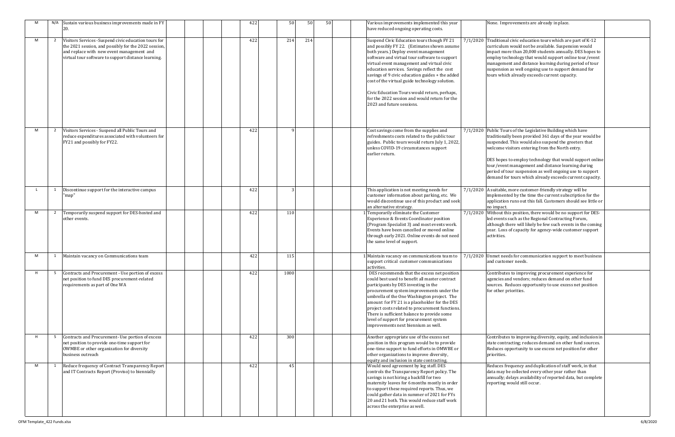|          | None. Improvements are already in place.                                                                                                                                                                                                                                                                                                                                                                |  |
|----------|---------------------------------------------------------------------------------------------------------------------------------------------------------------------------------------------------------------------------------------------------------------------------------------------------------------------------------------------------------------------------------------------------------|--|
| 7/1/2020 | Traditional civic education tours which are part of K-12<br>curriculum would not be available. Suspension would<br>impact more than 20,000 students annually. DES hopes to<br>employ technology that would support online tour/event<br>management and distance learning during period of tour<br>suspension as well ongoing use to support demand for<br>tours which already exceeds current capacity. |  |
| 7/1/2020 | Public Tours of the Legislative Building which have<br>traditionally been provided 361 days of the year would be<br>suspended. This would also suspend the greeters that<br>welcome visitors entering from the North entry.                                                                                                                                                                             |  |
|          | DES hopes to employ technology that would support online<br>tour/event management and distance learning during<br>period of tour suspension as well ongoing use to support<br>demand for tours which already exceeds current capacity.                                                                                                                                                                  |  |
| 7/1/2020 | A suitable, more customer-friendly strategy will be<br>implemented by the time the current subscription for the<br>application runs out this fall. Customers should see little or<br>no impact.                                                                                                                                                                                                         |  |
| 7/1/2020 | Without this position, there would be no support for DES-<br>led events such as the Regional Contracting Forum,<br>although there will likely be few such events in the coming<br>year. Loss of capacity for agency-wide customer support<br>activities.                                                                                                                                                |  |
| 7/1/2020 | Unmet needs for communication support to meet business<br>and customer needs.                                                                                                                                                                                                                                                                                                                           |  |
|          | Contributes to improving procurement experience for<br>agencies and vendors; reduces demand on other fund<br>sources. Reduces opportunity to use excess net position<br>for other priorities.                                                                                                                                                                                                           |  |
|          | Contributes to improving diversity, equity, and inclusion in<br>state contracting; reduces demand on other fund sources.<br>Reduces opportunity to use excess net position for other<br>priorities.                                                                                                                                                                                                     |  |
|          | Reduces frequency and duplication of staff work, in that<br>data may be collected every other year rather than<br>annually; delays availability of reported data, but complete<br>reporting would still occur.                                                                                                                                                                                          |  |

| M  | N/A            | Sustain various business improvements made in FY<br>20.                                                                                                                                                           |  | 422 | 50   | 50  | 50 | Various improvements implemented this year<br>have reduced ongoing operating costs.                                                                                                                                                                                                                                                                                                                                                                                                                                 | None                                                                       |
|----|----------------|-------------------------------------------------------------------------------------------------------------------------------------------------------------------------------------------------------------------|--|-----|------|-----|----|---------------------------------------------------------------------------------------------------------------------------------------------------------------------------------------------------------------------------------------------------------------------------------------------------------------------------------------------------------------------------------------------------------------------------------------------------------------------------------------------------------------------|----------------------------------------------------------------------------|
| M  | 2              | Visitors Services - Suspend civic education tours for<br>the 2021 session, and possibly for the 2022 session,<br>and replace with new event management and<br>virtual tour software to support distance learning. |  | 422 | 214  | 214 |    | Suspend Civic Education tours though FY 21<br>and possibly FY 22. (Estimates shown assume<br>both years.) Deploy event management<br>software and virtual tour software to support<br>virtual event management and virtual civic<br>education services. Savings reflect the cost<br>savings of 9 civic education guides + the added<br>cost of the virtual guide technology solution.<br>Civic Education Tours would return, perhaps,<br>for the 2022 session and would return for the<br>2023 and future sessions. | 7/1/2020 Trad<br>curri<br>impa<br>empl<br>mana<br>susp<br>tours            |
| M  | $\overline{2}$ | Visitors Services - Suspend all Public Tours and<br>reduce expenditures associated with volunteers for<br>FY21 and possibly for FY22.                                                                             |  | 422 | q    |     |    | Cost savings come from the supplies and<br>refreshments costs related to the public tour<br>guides. Public tours would return July 1, 2022,<br>unless COVID-19 circumstances support<br>earlier return.                                                                                                                                                                                                                                                                                                             | 7/1/2020 Publi<br>tradi<br>susp<br>welc<br>DES I<br>tour,<br>peric<br>dema |
| L. | $\mathbf{1}$   | Discontinue support for the interactive campus<br>'map"                                                                                                                                                           |  | 422 | 3    |     |    | This application is not meeting needs for<br>customer information about parking, etc. We<br>would discontinue use of this product and seek<br>an alternative strategy.                                                                                                                                                                                                                                                                                                                                              | 7/1/2020 A sui<br>impl<br>appli<br>no in                                   |
| M  | $\overline{2}$ | Temporarily suspend support for DES-hosted and<br>other events.                                                                                                                                                   |  | 422 | 110  |     |    | Temporarily eliminate the Customer<br>Experience & Events Coordinator position<br>(Program Specialist 3) and most events work.<br>Events have been cancelled or moved online<br>through early 2021. Online events do not need<br>the same level of support.                                                                                                                                                                                                                                                         | 7/1/2020 With<br>led e<br>altho<br>year.<br>activ                          |
| M  | 1              | Maintain vacancy on Communications team                                                                                                                                                                           |  | 422 | 115  |     |    | Maintain vacancy on communications team to<br>support critical customer communications<br>activities.                                                                                                                                                                                                                                                                                                                                                                                                               | 7/1/2020 Unm<br>and o                                                      |
| н  | 5              | Contracts and Procurement - Use portion of excess<br>net position to fund DES procurement-related<br>requirements as part of One WA                                                                               |  | 422 | 1000 |     |    | DES recommends that the excess net position<br>could best used to benefit all master contract<br>participants by DES investing in the<br>procurement system improvements under the<br>umbrella of the One Washington project. The<br>amount for FY 21 is a placeholder for the DES<br>project costs related to procurement functions.<br>There is sufficient balance to provide some<br>level of support for procurement system<br>improvements next biennium as well.                                              | Cont<br>agen<br>sour<br>for o                                              |
| H  | 5              | Contracts and Procurement- Use portion of excess<br>net position to provide one-time support for<br>OWMBE or other organization for diversity<br>business outreach                                                |  | 422 | 300  |     |    | Another appropriate use of the excess net<br>position in this program would be to provide<br>one-time support to fund efforts in OMWBE or<br>other organizations to improve diversity,<br>equity and inclusion in state contracting.                                                                                                                                                                                                                                                                                | Cont<br>state<br>Redu<br>prior                                             |
| M  | 1              | Reduce frequency of Contract Transparency Report<br>and IT Contracts Report (Proviso) to biennially                                                                                                               |  | 422 | 45   |     |    | Would need agreement by leg staff. DES<br>controls the Transparency Report policy. The<br>savings is not hiring a backfill for two<br>maternity leaves for 6 months mostly in order<br>to support these required reports. Thus, we<br>could gather data in summer of 2021 for FYs<br>20 and 21 both. This would reduce staff work<br>across the enterprise as well.                                                                                                                                                 | Redu<br>data<br>annu<br>repo                                               |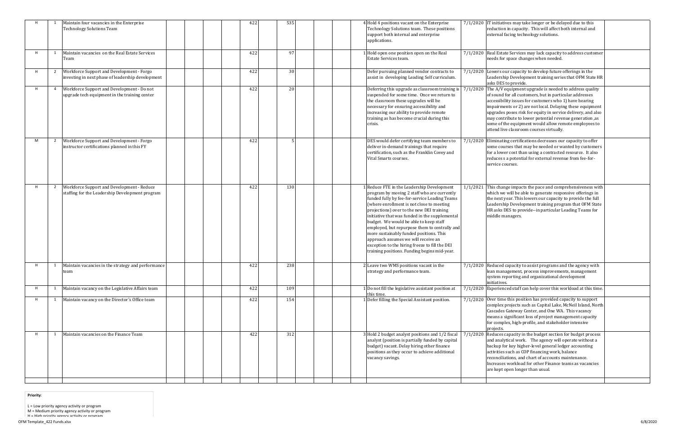|   |                | Maintain four vacancies in the Enterprise<br><b>Technology Solutions Team</b>                  | 422 | 535 | 4 Hold 4 positions vacant on the Enterprise<br>Technology Solutions team. These positions<br>support both internal and enterprise<br>applications.                                                                                                                                                                                                                                                                                                                                                                                                                  |          | $7/1/2020$ IT initiatives may take longer or be delayed due to this<br>reduction in capacity. This will affect both internal and<br>external facing technology solutions.                                                                                                                                                                                                                                                                                                 |  |
|---|----------------|------------------------------------------------------------------------------------------------|-----|-----|---------------------------------------------------------------------------------------------------------------------------------------------------------------------------------------------------------------------------------------------------------------------------------------------------------------------------------------------------------------------------------------------------------------------------------------------------------------------------------------------------------------------------------------------------------------------|----------|---------------------------------------------------------------------------------------------------------------------------------------------------------------------------------------------------------------------------------------------------------------------------------------------------------------------------------------------------------------------------------------------------------------------------------------------------------------------------|--|
| H |                | Maintain vacancies on the Real Estate Services<br>Team                                         | 422 | 97  | Hold open one position open on the Real<br>Estate Services team.                                                                                                                                                                                                                                                                                                                                                                                                                                                                                                    |          | 7/1/2020 Real Estate Services may lack capacity to address customer<br>needs for space changes when needed.                                                                                                                                                                                                                                                                                                                                                               |  |
| H | $\overline{2}$ | Workforce Support and Development - Forgo<br>investing in next phase of leadership development | 422 | 30  | Defer pursuing planned vendor contracts to<br>assist in developing Leading Self curriculum.                                                                                                                                                                                                                                                                                                                                                                                                                                                                         |          | 7/1/2020 Lowers our capacity to develop future offerings in the<br>Leadership Development training series that OFM State HR<br>asks DES to provide.                                                                                                                                                                                                                                                                                                                       |  |
| H |                | Workforce Support and Development - Do not<br>upgrade tech equipment in the training center    | 422 | 20  | Deferring this upgrade as classroom training is<br>suspended for some time. Once we return to<br>the classroom these upgrades will be<br>necessary for ensuring accessibility and<br>increasing our ability to provide remote<br>training as has become crucial during this<br>crisis.                                                                                                                                                                                                                                                                              | 7/1/2020 | The A/V equipment upgrade is needed to address quality<br>of sound for all customers, but in particular addresses<br>accessibility issues for customers who 1) have hearing<br>impairments or 2) are not local. Delaying these equipment<br>upgrades poses risk for equity in service delivery, and also<br>may contribute to lower potential revenue generation, as<br>some of the equipment would allow remote employees to<br>attend live classroom courses virtually. |  |
| M | $\overline{2}$ | Workforce Support and Development - Forgo<br>instructor certifications planned in this FY      | 422 |     | DES would defer certifying team members to<br>deliver in-demand trainings that require<br>certification, such as the Franklin Covey and<br>Vital Smarts courses.                                                                                                                                                                                                                                                                                                                                                                                                    |          | 7/1/2020 Eliminating certifications decreases our capacity to offer<br>some courses that may be needed or wanted by customers<br>for a lower cost than using a contracted resource. It also<br>reduces s a potential for external revenue from fee-for-<br>service courses.                                                                                                                                                                                               |  |
| H | $\overline{2}$ | Workforce Support and Development - Reduce<br>staffing for the Leadership Development program  | 422 | 130 | Reduce FTE in the Leadership Development<br>program by moving 2 staff who are currently<br>funded fully by fee-for-service Leading Teams<br>(where enrollment is not close to meeting<br>projections) over to the new DEI training<br>initiative that was funded in the supplemental<br>budget. We would be able to keep staff<br>employed, but repurpose them to centrally and<br>more sustainably funded positions. This<br>approach assumes we will receive an<br>exception to the hiring freeze to fill the DEI<br>training positions. Funding begins mid-year. |          | 1/1/2021 This change impacts the pace and comprehensiveness with<br>which we will be able to generate responsive offerings in<br>the next year. This lowers our capacity to provide the full<br>Leadership Development training program that OFM State<br>HR asks DES to provide--in particular Leading Teams for<br>middle managers.                                                                                                                                     |  |
|   |                | Maintain vacancies in the strategy and performance<br>team                                     | 422 | 238 | 2 Leave two WMS positions vacant in the<br>strategy and performance team.                                                                                                                                                                                                                                                                                                                                                                                                                                                                                           |          | $7/1/2020$ Reduced capacity to assist programs and the agency with<br>lean management, process improvements, management<br>system reporting and organizational development<br>initiatives.                                                                                                                                                                                                                                                                                |  |
| H |                | Maintain vacancy on the Legislative Affairs team                                               | 422 | 109 | Do not fill the legislative assistant position at<br>this time.                                                                                                                                                                                                                                                                                                                                                                                                                                                                                                     |          | $7/1/2020$ Experienced staff can help cover this workload at this time.                                                                                                                                                                                                                                                                                                                                                                                                   |  |
| H | 1              | Maintain vacancy on the Director's Office team                                                 | 422 | 154 | Defer filling the Special Assistant position.                                                                                                                                                                                                                                                                                                                                                                                                                                                                                                                       |          | $7/1/2020$ Over time this position has provided capacity to support<br>complex projects such as Capital Lake, McNeil Island, North<br>Cascades Gateway Center, and One WA. This vacancy<br>means a significant loss of project management capacity<br>for complex, high-profile, and stakeholder intensive<br>projects.                                                                                                                                                   |  |
| H | $\mathbf{1}$   | Maintain vacancies on the Finance Team                                                         | 422 | 312 | 3 Hold 2 budget analyst positions and 1/2 fiscal<br>analyst (position is partially funded by capital<br>budget) vacant. Delay hiring other finance<br>positions as they occur to achieve additional<br>vacancy savings.                                                                                                                                                                                                                                                                                                                                             | 7/1/2020 | Reduces capacity in the budget section for budget process<br>and analytical work. The agency will operate without a<br>backup for key higher-level general ledger accounting<br>activities such as COP financing work, balance<br>reconciliations, and chart of accounts maintenance.<br>Increases workload for other Finance teams as vacancies<br>are kept open longer than usual.                                                                                      |  |

**Priority**:

L <sup>=</sup> Low priority agency activity or program

M <sup>=</sup> Medium priority agency activity or program

H <sup>=</sup> High priority agency activity or program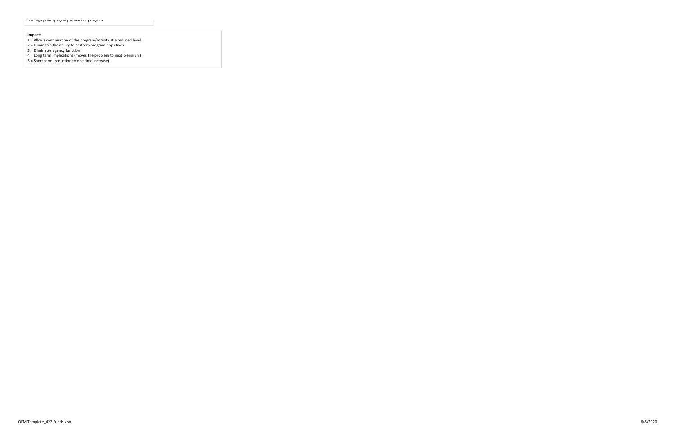#### **Impact:**

- 1 <sup>=</sup> Allows continuation of the program/activity at <sup>a</sup> reduced level
- 2 <sup>=</sup> Eliminates the ability to perform program objectives
- 3 <sup>=</sup> Eliminates agency function
- 4 <sup>=</sup> Long term implications (moves the problem to next biennium)
- 5 <sup>=</sup> Short term (reduction to one time increase)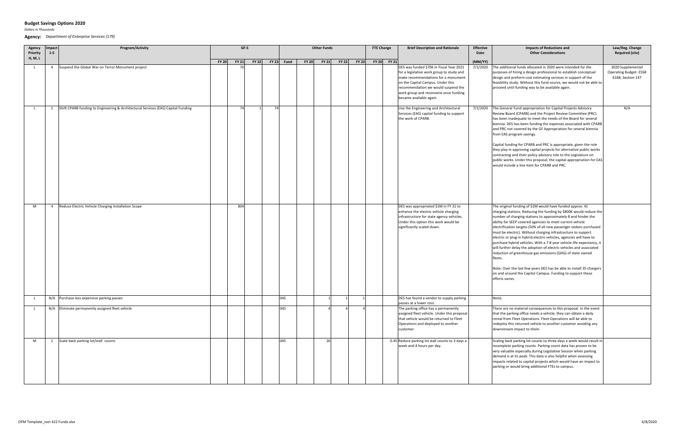*Dollars in Thousands*

**Agency:** *Department of Enterprise Services (179)*

| Agency<br>Priority | Impact<br>$1 - 5$ | Program/Activity                                                                  | GF-S                  |                    | <b>Other Funds</b>           |              |              | <b>FTE Change</b> | <b>Brief Description and Rationale</b>                                                                                                                                                                                                                                       | <b>Effective</b><br>Date | <b>Impacts of Reductions and</b><br><b>Other Considerations</b>                                                                                                                                                                                                                                                                                                                                                                                                                                                                                                                                                                                                                                                                                                                                                                                               | Law/Reg. Change<br><b>Required (cite)</b>                              |
|--------------------|-------------------|-----------------------------------------------------------------------------------|-----------------------|--------------------|------------------------------|--------------|--------------|-------------------|------------------------------------------------------------------------------------------------------------------------------------------------------------------------------------------------------------------------------------------------------------------------------|--------------------------|---------------------------------------------------------------------------------------------------------------------------------------------------------------------------------------------------------------------------------------------------------------------------------------------------------------------------------------------------------------------------------------------------------------------------------------------------------------------------------------------------------------------------------------------------------------------------------------------------------------------------------------------------------------------------------------------------------------------------------------------------------------------------------------------------------------------------------------------------------------|------------------------------------------------------------------------|
| H, M, L            |                   |                                                                                   | FY 21<br><b>FY 20</b> | $FY 22$ FY 23 Fund | <b>FY 20</b><br><b>FY 21</b> | <b>FY 22</b> | <b>FY 23</b> | FY 20 FY 21       |                                                                                                                                                                                                                                                                              | (MM/YY)                  |                                                                                                                                                                                                                                                                                                                                                                                                                                                                                                                                                                                                                                                                                                                                                                                                                                                               |                                                                        |
| $\mathsf{L}$       | $\overline{4}$    | Suspend the Global War on Terror Monument project                                 |                       |                    |                              |              |              |                   | DES was funded \$70K in Fiscal Year 2021<br>for a legislative work group to study and<br>make recommendations for a monument<br>on the Capital Campus. Under this<br>recommendation we would suspend the<br>work group and reconvene once funding<br>became available again. | 7/1/2020                 | The additional funds allocated in 2020 were intended for the<br>purposes of hiring a design professional to establish conceptual<br>design and preform cost estimating services in support of the<br>feasibility study. Without this fund source, we would not be able to<br>proceed until funding was to be available again.                                                                                                                                                                                                                                                                                                                                                                                                                                                                                                                                 | 2020 Supplemental<br><b>Operating Budget-ESSB</b><br>6168; Section 147 |
| - L                | 1                 | Shift CPARB funding to Engineering & Architectural Services (EAS) Capital Funding | 74                    | 74                 |                              |              |              |                   | Use the Engineering and Architectural<br>Services (EAS) capital funding to support<br>the work of CPARB.                                                                                                                                                                     | 7/1/2020                 | The General Fund appropriation for Capital Projects Advisory<br>Review Board (CPARB) and the Project Review Committee (PRC)<br>has been inadequate to meet the needs of the Board for several<br>biennia. DES has been funding the expenses associated with CPARB<br>and PRC not covered by the GF Appropriation for several biennia<br>from EAS program savings.<br>Capital funding for CPARB and PRC is appropriate, given the role<br>they play in approving capital projects for alternative public works<br>contracting and their policy advisory role to the Legislature on<br>public works. Under this proposal, the capital appropriation for EAS<br>would include a line item for CPARB and PRC.                                                                                                                                                     | N/A                                                                    |
| M                  | $\overline{4}$    | Reduce Electric Vehicle Charging Installation Scope                               | 804                   |                    |                              |              |              |                   | DES was appropriated \$1M in FY 21 to<br>enhance the electric vehicle charging<br>infrastructure for state agency vehicles.<br>Under this option this work would be<br>significantly scaled down.                                                                            |                          | The original funding of \$1M would have funded approx. 41<br>charging stations. Reducing the funding by \$800K would reduce the<br>number of charging stations to approximately 8 and hinder the<br>ability for SEEP covered agencies to meet current vehicle<br>electrification targets (50% of all new passenger sedans purchased<br>must be electric). Without charging infrastructure to support<br>electric or plug-in hybrid electric vehicles, agencies will have to<br>purchase hybrid vehicles. With a 7-8 year vehicle life expectancy, it<br>will further delay the adoption of electric vehicles and associated<br>reduction of greenhouse gas emissions (GHG) of state owned<br>fleets.<br>Note: Over the last few years DES has be able to install 35 chargers<br>on and around the Capitol Campus. Funding to support these<br>efforts varies. |                                                                        |
| $\mathsf{L}$       |                   | N/A Purchase less expensive parking passes                                        |                       | 045                |                              |              |              |                   | DES has found a vendor to supply parking<br>passes at a lower cost.                                                                                                                                                                                                          |                          | None.                                                                                                                                                                                                                                                                                                                                                                                                                                                                                                                                                                                                                                                                                                                                                                                                                                                         |                                                                        |
| <b>L</b>           |                   | N/A Eliminate permanently assigned fleet vehicle                                  |                       | 045                |                              |              |              |                   | The parking office has a permanently<br>assigned fleet vehicle. Under this proposal<br>that vehicle would be returned to Fleet<br>Operations and deployed to another<br>customer.                                                                                            |                          | There are no material consequences to this proposal. In the event<br>that the parking office needs a vehicle, they can obtain a daily<br>rental from Fleet Operations. Fleet Operations will be able to<br>redeploy this returned vehicle to another customer avoiding any<br>downstream impact to them.                                                                                                                                                                                                                                                                                                                                                                                                                                                                                                                                                      |                                                                        |
| M                  | 1                 | Scale back parking lot/stall counts                                               |                       | 045                | 26                           |              |              |                   | 0.45 Reduce parking lot stall counts to 3 days a<br>week and 4 hours per day.                                                                                                                                                                                                |                          | Scaling back parking lot counts to three days a week would result in<br>incomplete parking counts. Parking count data has proven to be<br>very valuable especially during Legislative Session when parking<br>demand is at its peak. This data is also helpful when assessing<br>impacts related to capital projects which would have an impact to<br>parking or would bring additional FTEs to campus.                                                                                                                                                                                                                                                                                                                                                                                                                                                       |                                                                        |

## **Budget Savings Options 2020**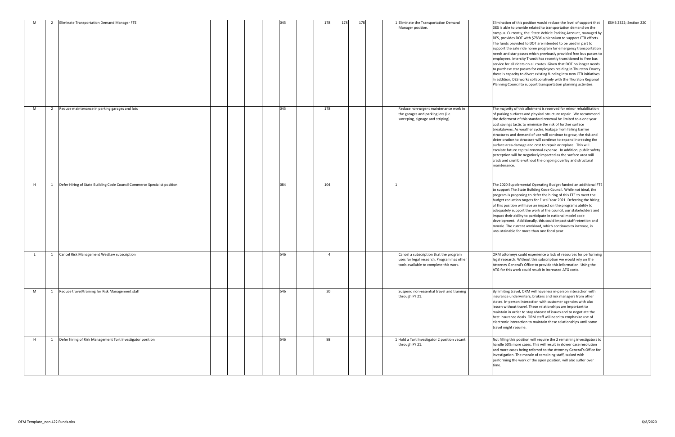| M   | $\overline{2}$ | Eliminate Transportation Demand Manager FTE                              | 045 | 178 | 178<br>178 |  | 1 Eliminate the Transportation Demand<br>Manager position.                                                                     | Elimination of this position would reduce the level of support that<br>DES is able to provide related to transportation demand on the<br>campus. Currently, the State Vehicle Parking Account, managed by<br>DES, provides DOT with \$783K a biennium to support CTR efforts.<br>The funds provided to DOT are intended to be used in part to<br>support the safe ride home program for emergency transportation<br>needs and star passes which previously provided free bus passes to<br>employees. Intercity Transit has recently transitioned to free bus<br>service for all riders on all routes. Given that DOT no longer needs<br>to purchase star passes for employees residing in Thurston County<br>there is capacity to divert existing funding into new CTR initiatives.<br>In addition, DES works collaboratively with the Thurston Regional<br>Planning Council to support transportation planning activities. | ESHB 2322; Section 220 |
|-----|----------------|--------------------------------------------------------------------------|-----|-----|------------|--|--------------------------------------------------------------------------------------------------------------------------------|-----------------------------------------------------------------------------------------------------------------------------------------------------------------------------------------------------------------------------------------------------------------------------------------------------------------------------------------------------------------------------------------------------------------------------------------------------------------------------------------------------------------------------------------------------------------------------------------------------------------------------------------------------------------------------------------------------------------------------------------------------------------------------------------------------------------------------------------------------------------------------------------------------------------------------|------------------------|
| M   | 2              | Reduce maintenance in parking garages and lots                           | 045 | 178 |            |  | Reduce non-urgent maintenance work in<br>the garages and parking lots (i.e.<br>sweeping, signage and striping).                | The majority of this allotment is reserved for minor rehabilitation<br>of parking surfaces and physical structure repair. We recommend<br>the deferment of this standard renewal be limited to a one year<br>cost savings tactic to minimize the risk of further surface<br>breakdowns. As weather cycles, leakage from failing barrier<br>structures and demand of use will continue to grow, the risk and<br>deterioration to structure will continue to expand increasing the<br>surface area damage and cost to repair or replace. This will<br>escalate future capital renewal expense. In addition, public safety<br>perception will be negatively impacted as the surface area will<br>crack and crumble without the ongoing overlay and structural<br>maintenance.                                                                                                                                                  |                        |
| H   | 1              | Defer Hiring of State Building Code Council Commerce Specialist position | 084 | 104 |            |  |                                                                                                                                | The 2020 Supplemental Operating Budget funded an additional FTE<br>to support The State Building Code Council. While not ideal, the<br>program is proposing to defer the hiring of this FTE to meet the<br>budget reduction targets for Fiscal Year 2021. Deferring the hiring<br>of this position will have an impact on the programs ability to<br>adequately support the work of the council, our stakeholders and<br>impact their ability to participate in national model code<br>development. Additionally, this could impact staff retention and<br>morale. The current workload, which continues to increase, is<br>unsustainable for more than one fiscal year.                                                                                                                                                                                                                                                    |                        |
| - L | 1              | Cancel Risk Management Westlaw subscription                              | 546 |     |            |  | Cancel a subscription that the program<br>uses for legal research. Program has other<br>tools available to complete this work. | ORM attorneys could experience a lack of resources for performing<br>legal research. Without this subscription we would rely on the<br>Attorney General's Office to provide this information. Using the<br>ATG for this work could result in increased ATG costs.                                                                                                                                                                                                                                                                                                                                                                                                                                                                                                                                                                                                                                                           |                        |
| M   | 1              | Reduce travel/training for Risk Management staff                         | 546 | 20  |            |  | Suspend non-essential travel and training<br>through FY 21.                                                                    | By limiting travel, ORM will have less in-person interaction with<br>insurance underwriters, brokers and risk managers from other<br>states. In-person interaction with customer agencies with also<br>lessen without travel. These relationships are important to<br>maintain in order to stay abreast of issues and to negotiate the<br>best insurance deals. ORM staff will need to emphasize use of<br>electronic interaction to maintain these relationships until some<br>travel might resume.                                                                                                                                                                                                                                                                                                                                                                                                                        |                        |
| H   |                | 1 Defer hiring of Risk Management Tort Investigator position             | 546 | -98 |            |  | 1 Hold a Tort Investigator 2 position vacant<br>through FY 21.                                                                 | Not filling this position will require the 2 remaining investigators to<br>handle 50% more cases. This will result in slower case resolution<br>and more cases being referred to the Attorney General's Office for<br>investigation. The morale of remaining staff, tasked with<br>performing the work of the open position, will also suffer over<br>time.                                                                                                                                                                                                                                                                                                                                                                                                                                                                                                                                                                 |                        |